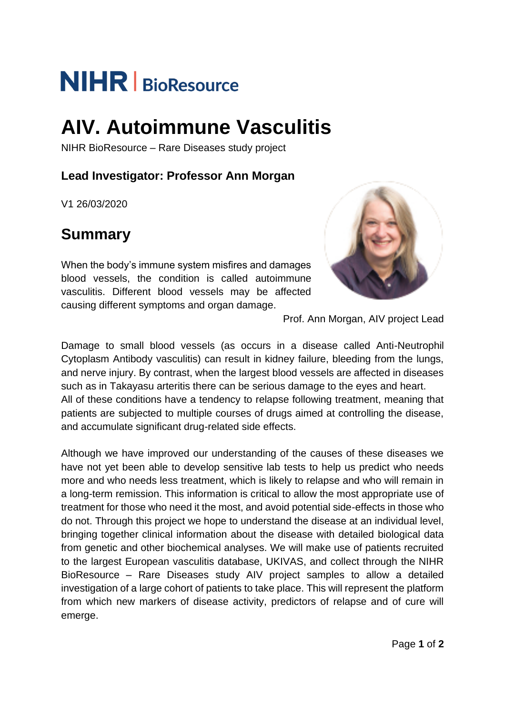# **NIHR** BioResource

## **AIV. Autoimmune Vasculitis**

NIHR BioResource – Rare Diseases study project

### **Lead Investigator: Professor Ann Morgan**

V1 26/03/2020

## **Summary**

When the body's immune system misfires and damages blood vessels, the condition is called autoimmune vasculitis. Different blood vessels may be affected causing different symptoms and organ damage.



Prof. Ann Morgan, AIV project Lead

Damage to small blood vessels (as occurs in a disease called Anti-Neutrophil Cytoplasm Antibody vasculitis) can result in kidney failure, bleeding from the lungs, and nerve injury. By contrast, when the largest blood vessels are affected in diseases such as in Takayasu arteritis there can be serious damage to the eyes and heart. All of these conditions have a tendency to relapse following treatment, meaning that patients are subjected to multiple courses of drugs aimed at controlling the disease, and accumulate significant drug-related side effects.

Although we have improved our understanding of the causes of these diseases we have not yet been able to develop sensitive lab tests to help us predict who needs more and who needs less treatment, which is likely to relapse and who will remain in a long-term remission. This information is critical to allow the most appropriate use of treatment for those who need it the most, and avoid potential side-effects in those who do not. Through this project we hope to understand the disease at an individual level, bringing together clinical information about the disease with detailed biological data from genetic and other biochemical analyses. We will make use of patients recruited to the largest European vasculitis database, UKIVAS, and collect through the NIHR BioResource – Rare Diseases study AIV project samples to allow a detailed investigation of a large cohort of patients to take place. This will represent the platform from which new markers of disease activity, predictors of relapse and of cure will emerge.